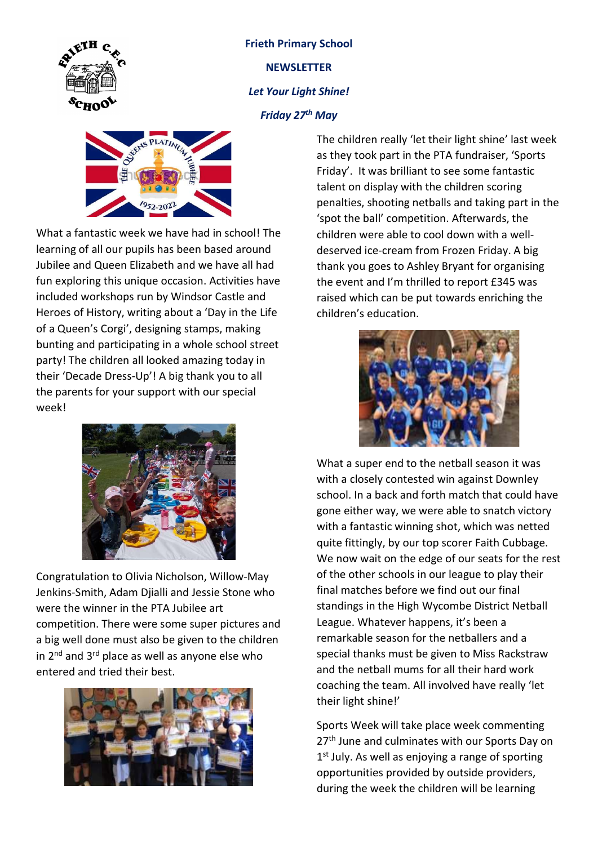

## Frieth Primary School **NEWSLETTER** Let Your Light Shine! Friday 27<sup>th</sup> May



What a fantastic week we have had in school! The learning of all our pupils has been based around Jubilee and Queen Elizabeth and we have all had fun exploring this unique occasion. Activities have included workshops run by Windsor Castle and Heroes of History, writing about a 'Day in the Life of a Queen's Corgi', designing stamps, making bunting and participating in a whole school street party! The children all looked amazing today in their 'Decade Dress-Up'! A big thank you to all the parents for your support with our special week!



Congratulation to Olivia Nicholson, Willow-May Jenkins-Smith, Adam Djialli and Jessie Stone who were the winner in the PTA Jubilee art competition. There were some super pictures and a big well done must also be given to the children in  $2^{nd}$  and  $3^{rd}$  place as well as anyone else who entered and tried their best.



The children really 'let their light shine' last week as they took part in the PTA fundraiser, 'Sports Friday'. It was brilliant to see some fantastic talent on display with the children scoring penalties, shooting netballs and taking part in the 'spot the ball' competition. Afterwards, the children were able to cool down with a welldeserved ice-cream from Frozen Friday. A big thank you goes to Ashley Bryant for organising the event and I'm thrilled to report £345 was raised which can be put towards enriching the children's education.



What a super end to the netball season it was with a closely contested win against Downley school. In a back and forth match that could have gone either way, we were able to snatch victory with a fantastic winning shot, which was netted quite fittingly, by our top scorer Faith Cubbage. We now wait on the edge of our seats for the rest of the other schools in our league to play their final matches before we find out our final standings in the High Wycombe District Netball League. Whatever happens, it's been a remarkable season for the netballers and a special thanks must be given to Miss Rackstraw and the netball mums for all their hard work coaching the team. All involved have really 'let their light shine!'

Sports Week will take place week commenting 27<sup>th</sup> June and culminates with our Sports Day on 1<sup>st</sup> July. As well as enjoying a range of sporting opportunities provided by outside providers, during the week the children will be learning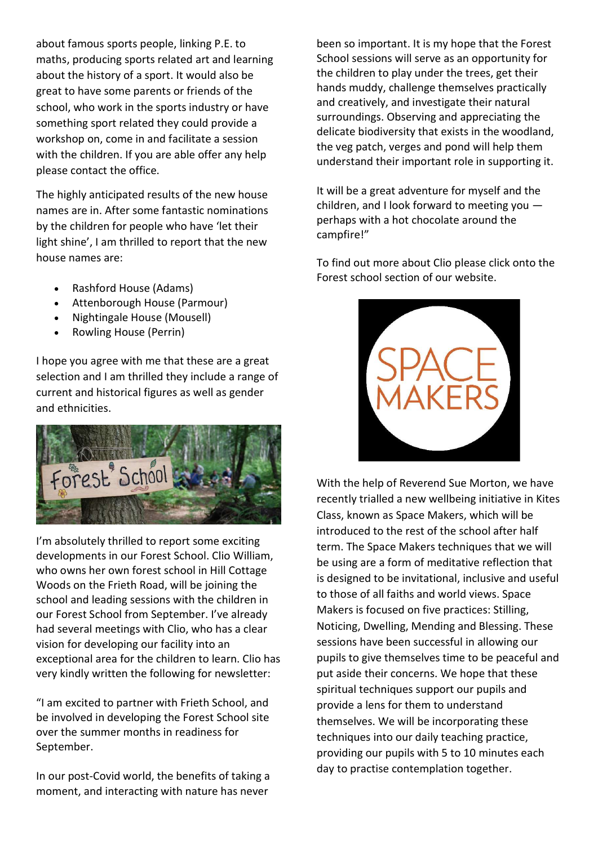about famous sports people, linking P.E. to maths, producing sports related art and learning about the history of a sport. It would also be great to have some parents or friends of the school, who work in the sports industry or have something sport related they could provide a workshop on, come in and facilitate a session with the children. If you are able offer any help please contact the office.

The highly anticipated results of the new house names are in. After some fantastic nominations by the children for people who have 'let their light shine', I am thrilled to report that the new house names are:

- Rashford House (Adams)
- Attenborough House (Parmour)
- Nightingale House (Mousell)
- Rowling House (Perrin)

I hope you agree with me that these are a great selection and I am thrilled they include a range of current and historical figures as well as gender and ethnicities.



I'm absolutely thrilled to report some exciting developments in our Forest School. Clio William, who owns her own forest school in Hill Cottage Woods on the Frieth Road, will be joining the school and leading sessions with the children in our Forest School from September. I've already had several meetings with Clio, who has a clear vision for developing our facility into an exceptional area for the children to learn. Clio has very kindly written the following for newsletter:

"I am excited to partner with Frieth School, and be involved in developing the Forest School site over the summer months in readiness for September.

In our post-Covid world, the benefits of taking a moment, and interacting with nature has never

been so important. It is my hope that the Forest School sessions will serve as an opportunity for the children to play under the trees, get their hands muddy, challenge themselves practically and creatively, and investigate their natural surroundings. Observing and appreciating the delicate biodiversity that exists in the woodland, the veg patch, verges and pond will help them understand their important role in supporting it.

It will be a great adventure for myself and the children, and I look forward to meeting you perhaps with a hot chocolate around the campfire!"

To find out more about Clio please click onto the Forest school section of our website.



With the help of Reverend Sue Morton, we have recently trialled a new wellbeing initiative in Kites Class, known as Space Makers, which will be introduced to the rest of the school after half term. The Space Makers techniques that we will be using are a form of meditative reflection that is designed to be invitational, inclusive and useful to those of all faiths and world views. Space Makers is focused on five practices: Stilling, Noticing, Dwelling, Mending and Blessing. These sessions have been successful in allowing our pupils to give themselves time to be peaceful and put aside their concerns. We hope that these spiritual techniques support our pupils and provide a lens for them to understand themselves. We will be incorporating these techniques into our daily teaching practice, providing our pupils with 5 to 10 minutes each day to practise contemplation together.